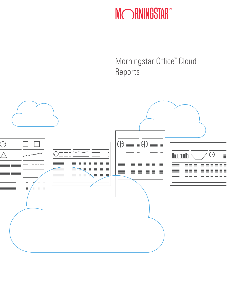# MORNINGSTAR®

Morningstar Office<sup>®</sup> Cloud Reports

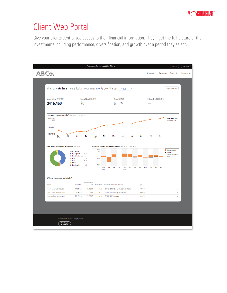#### Client Web Portal

Give your clients centralized access to their financial information. They'll get the full picture of their investments including performance, diversification, and growth over a period they select.

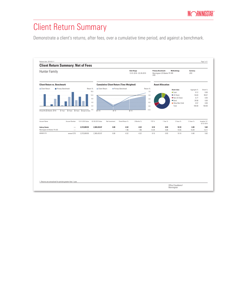#### Client Return Summary

Demonstrate a client's returns, after fees, over a cumulative time period, and against a benchmark.

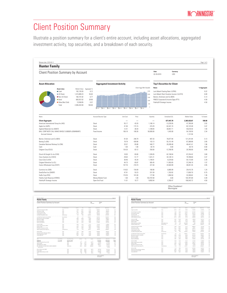## Client Position Summary

Illustrate a position summary for a client's entire account, including asset allocations, aggregated investment activity, top securities, and a breakdown of each security.

| <b>Hunter Family</b>                                              |                                                     |                          |               |                                       |                                     |       |       |                  |           |        |          |                                |                                             |                        |              |           |
|-------------------------------------------------------------------|-----------------------------------------------------|--------------------------|---------------|---------------------------------------|-------------------------------------|-------|-------|------------------|-----------|--------|----------|--------------------------------|---------------------------------------------|------------------------|--------------|-----------|
|                                                                   | <b>Client Position Summary by Account</b>           |                          |               |                                       |                                     |       |       |                  |           |        |          |                                | Date<br>02-28-2019                          | Currency<br><b>USD</b> |              |           |
| <b>Asset Allocation</b>                                           |                                                     |                          |               | <b>Aggregated Investment Activity</b> |                                     |       |       |                  |           |        |          |                                | <b>Top 5 Securities for Client</b>          |                        |              |           |
|                                                                   | <b>Asset class</b>                                  | Market Value Aggregate % |               |                                       | Client Aggr Mkt Value(K)<br>Name    |       |       |                  |           |        |          |                                |                                             |                        | % Aggregate  |           |
|                                                                   | $\bullet$ Cash                                      | 192.135.93               | 8.12          |                                       | Lord Abbett Floating Rate I (LFRIX) |       |       |                  |           |        |          |                                |                                             |                        | 9.22         |           |
|                                                                   | ● US Stock                                          | 1,315,989.23             | 55.63         |                                       |                                     |       |       |                  |           |        |          | 2.000                          | Lord Abbett Short Duration Income I (LLDYX) | 6.69                   |              |           |
|                                                                   | ● Non US Stock                                      | 160,191.82               | 6.77          |                                       | 1.500                               |       |       |                  |           |        |          | Becton, Dickinson and Co (BDX) | 5.13                                        |                        |              |           |
|                                                                   | <b>•</b> Bond                                       | 683,557.02               | 28.90<br>0.57 |                                       |                                     |       |       |                  |           |        |          | 1.000                          | PIMCO Corporate & Income Opps (PTY)         |                        |              | 4.59      |
| ● Other/Not Clsfd<br>13,558.85<br>Total<br>2,365,432.84<br>100.00 |                                                     |                          |               |                                       |                                     |       |       |                  |           |        |          | 500                            | Fidelity® Strategic Income                  |                        |              | 4.50      |
|                                                                   |                                                     |                          |               | 02-10                                 | $02 - 11$<br>$02 - 12$              | 02-13 | 02-14 | $02 - 15$        | $02 - 16$ | 02-17  | 02-18    | $\theta$                       |                                             |                        |              |           |
|                                                                   |                                                     |                          |               |                                       |                                     |       |       |                  |           |        |          |                                |                                             |                        |              |           |
| Name                                                              |                                                     |                          |               | Account/Security Type                 |                                     |       |       | <b>Unit Cost</b> |           | Price  |          | Quantity                       |                                             | Unrealized G/L         | Market Value | % Assets  |
| <b>Client Aggregate</b>                                           |                                                     |                          |               |                                       |                                     |       |       |                  |           |        |          |                                |                                             | 677.447.70             | 2.365.432.87 | 100.00    |
| American International Group Inc (AIG)                            |                                                     |                          | Stock         |                                       |                                     |       | 55.17 |                  | 43.20     |        | 1,106.14 |                                | $-13,235.95$                                | 47,785.08              | 2.02         |           |
| Apple Inc (AAPL)                                                  |                                                     |                          |               | Stock                                 |                                     |       |       | 41.50            |           | 173.15 |          | 474.29                         |                                             | 62,441.74              | 82,123.49    | 3.47      |
| Applied Materials Inc (AMAT)                                      |                                                     |                          |               | Stock                                 |                                     |       |       | 12.41            |           | 38.34  |          | 1,189.84                       |                                             | 30.857.71              | 45.618.54    | 1.93      |
|                                                                   | BALL CORP NOTE CALL MAKE WHOLE 5.00000% (058498AR7) |                          |               | Fixed Income                          |                                     |       |       | 106.18           |           | 108.26 |          | 50,000.00                      |                                             | 1,043.00               | 54,130.50    | 2.34      |
| <b>Accrued Interest</b>                                           |                                                     |                          |               |                                       |                                     |       |       |                  |           |        |          |                                |                                             |                        | 1,131.94     | a sa sa   |
| Becton, Dickinson and Co (BDX)                                    |                                                     |                          |               | Stock                                 |                                     |       |       | 91.04            |           | 248.79 |          | 487.33                         |                                             | 76.877.94              | 121,241.84   | 5.13      |
| Boeing Co (BA)                                                    |                                                     |                          |               | Stock                                 |                                     |       |       | 79.79            |           | 439.96 |          | 153.13                         |                                             | 55,151.49              | 67,368.88    | 2.85      |
| Canadian National Railway Co (CNI)                                |                                                     |                          |               | Stock                                 |                                     |       |       | 33.57            |           | 85.88  |          | 540.77                         |                                             | 28.289.48              | 46.441.41    | 1.96      |
| Cash                                                              |                                                     |                          |               | Cash                                  |                                     |       |       | 1.00             |           | 1.00   |          | $-82.70$                       |                                             | 0.00                   | $-82.70$     | 0.00      |
| Celgene Corp (CELG)                                               |                                                     |                          |               | Stock                                 |                                     |       |       | 134.20           |           | 83.12  |          | 250.00                         |                                             | $-12,769.95$           | 20,780.00    | 0.88      |
| Church & Dwight Co Inc (CHD)                                      |                                                     |                          |               | Stock                                 |                                     |       |       | 18.93            |           | 65.80  |          | 1,326.05                       |                                             | 62,158.04              | 87,254.42    | 3.69      |
| Cisco Systems Inc (CSCO)                                          |                                                     |                          |               | Stock                                 |                                     |       |       | 29.63            |           | 51.77  |          | 1.541.21                       |                                             | 34,128.14              | 79.788.60    | 3.37      |
| Coca-Cola Co (KO)                                                 |                                                     |                          |               | Stock                                 |                                     |       |       | 38.46            |           | 45.34  |          | 1,194.81                       |                                             | 8,224.60               | 54,172.69    | 2.29      |
| Colgate-Palmolive Co (CL)                                         |                                                     |                          |               | Stock                                 |                                     |       |       | 44.73            |           | 65.87  |          | 565.45                         |                                             | 11,953.05              | 37,246.19    | 1.57      |
| Costco Wholesale Corp (COST)                                      |                                                     |                          |               | Stock                                 |                                     |       |       | 107.76           |           | 218.74 |          | 221.50                         |                                             | 24.582.89              | 48.451.35    | 2.05<br>. |
| Cummins Inc (CMI)                                                 |                                                     |                          |               | Stock                                 |                                     |       |       | 118.02           |           | 154.09 |          | 190.90                         |                                             | 6,885.99               | 29,415.78    | 1.24      |
| DowDuPont Inc (DWDP)                                              |                                                     |                          |               | Stock                                 |                                     |       |       | 47.91            |           | 53.23  |          | 331.59                         |                                             | 1.762.82               | 17.650.70    | 0.75      |
| FedEx Corp (FDX)                                                  |                                                     |                          |               | Stock                                 |                                     |       |       | 170.35           |           | 181.00 |          | 177.90                         |                                             | 1.894.50               | 32,200.62    | 1.36      |
| Fidelity Cash Reserves (FDRXX)                                    |                                                     |                          |               | Money Market Fund                     |                                     |       |       | 1.00             |           | 1.00   |          | 103,787.69                     |                                             | 0.00                   | 103,787.69   | 4.39      |
| Fidelity® Strategic Income                                        |                                                     |                          |               | Open-End Fund                         |                                     |       |       | 11.01            |           | 10.77  |          | 9.892.64                       |                                             | $-2.350.47$            | 106.543.72   | 4.50      |

| <b>Hunter Family</b>                                |                            |                        |                  |            |            |                           |                         |                         |            |
|-----------------------------------------------------|----------------------------|------------------------|------------------|------------|------------|---------------------------|-------------------------|-------------------------|------------|
| Client Position Summary by Account                  |                            |                        |                  |            |            | <b>Bate</b><br>02-28-2019 | Currence<br><b>LISS</b> |                         |            |
| <b>Manus</b>                                        |                            | Account/Security Type  | <b>Holt Cost</b> | Price      |            | Quantity                  | Unnealized G.C.         | Market Value            | % Azartz   |
| Honeywell International Inc (HDN)                   | Stock                      |                        | 55.68            | 154.07     |            | \$17.42                   | 50,909.28               | 29.718.59               | 8.97       |
| JM Smucker Co (SJM)                                 | Storb                      |                        | 92.17            | 105.91     |            | 367.62                    | 5.050.91                | 38.934.53               | 1.65       |
| Johnson & Johnson (JMJ)                             | Stock                      |                        | 30.03            | 136.64     |            | 105.94                    | 95.701.15               | 52 720 77               | 228        |
| Lockheed Martin Corp (LMT)                          | Storb                      |                        | 111.42           | 909.41     |            | 181.15                    | 95.667.08               | 58,050.55               | 2.97       |
| Lord Abbett Floating Rate I (LFR00)                 | <b>Green, First Forest</b> |                        | 9.99             | 8.9%       |            | 24.429.22                 | A 155.94                | 218 152 91              | 9.22       |
| Lord Abbett Short Duration Income   (LLDYX)         | Open-End Fund              |                        | 4.54             | 4.17       |            | 37.959.71                 | $-13.972.33$            | 158,292.01              | 6.69       |
| McConnick & Co Inc Non-Votino (MKC)                 | Storb                      |                        | 69.60            | 195.98     |            | 832.98                    | 42.012.59               | 88,058,75               | <b>SRA</b> |
| Merck & Co Inc (MRK)                                | Storb                      |                        | 12.95            | 81.29      |            | 639.65                    | 27,788.78               | 51 996 82               | 2.20       |
| Microsoft Corp (MSFT)                               | Stock                      |                        | 31.62            | 112.03     |            | 834.66                    | 67.071.28               | 93 508 51               | 3.96       |
| Nextle SA ADR INSREY!                               | Stock                      |                        | 59.91            | 90.99      |            | 200.00                    | 21,256.80               | 63,231.00               | 2.67       |
| Pontair PLC (PMR)                                   | Stock                      |                        | 59.50            | 42.54      |            | 514.10                    | $-8.719.30$             | 21.869.90               | 0.92       |
| People's United Financial Inc (PBCT)                | Stock                      |                        | 13.73            | 17.76      |            | 229105                    | 11.007.73               | 49.495.95               | 205        |
| Free Co Inc (PEP)                                   | Stock                      |                        | 69.59            | 115.64     |            | 280.19                    | 12918.62                | 32.401.52               | 1.37       |
| Philip Morris International Inc (PM)                | Stock                      |                        | 84.17            | 98.94      |            | 409.44                    | 112939                  | 95,510.03               | 150        |
| PIMCO Corporate & Income Opes (FTY)                 | Cleant Fort Ford           | 17.60                  | 17.0%            |            | 6/120.21   | 86.7/3 8.                 | 108.646.51              | 4.50                    |            |
| Rolling Inc (ROL)                                   | Stock                      |                        | 11.05            | 39.66      |            | \$23.03                   | 24.979.98               | 59 AOR 37               | 1.46       |
| Royal Dutch Shell PLC ADR Class A (RDS.A)           | Storb                      |                        | 68.92            | 82.21      |            |                           | 512.28<br>38, 987.94    |                         | 135        |
| Simon Property Group Inc (SPG)                      | Stock                      |                        | 158.38           | 181.16     |            | 214.09                    | 5.224.34                |                         | 184        |
| Total SA ADR (TOT)                                  | Stock                      |                        | 48.62            | 56.91      |            | 554.00                    | 4,582.93                | 98.784 Fd.<br>31,528.14 | 1.33       |
| <b>Manus</b>                                        | Account Number             | Accounts Security Type |                  | Use Cost   | Price      | Quantity                  | Densited GA             | Market Value            | % Azartz   |
| 0000001230                                          | verywel230                 | <b>Beneficiary IRA</b> |                  |            |            |                           | 62744770                | 2 365 432 87            | 100.00     |
| American International Group Inc (AIG)              |                            | Stork                  |                  | ۰<br>55.17 | ۰<br>43.95 | ۰<br>1.108.14             | $-13.235.95$            | 47.785.08               | 200        |
| Apple Inc (AAPL)                                    |                            | Stock                  |                  | 41.50      | 179.15     | 474.99                    | 82.441.74               | 82.123.49               | 347        |
| Applied Materials Inc (AMAT)                        |                            | Stock                  |                  | 12.41      | 39.34      | 1.189.84                  | 30.857.71               | 45.618.54               | 1.93       |
| BALL CORP NOTE CALL MAKE WHOLE 5,00000% (OSB49BAR7) |                            | Fixed Income           |                  | 106.18     | 108.26     | 50,000.00                 | 1,043.00                | 54.130.50               | 2.34       |
| <b>Arrestel</b> Intenset                            |                            |                        |                  |            |            |                           |                         | 1191.94                 |            |
| Becton, Dickinson and Co (BDX)                      |                            | Stork                  |                  | 91.04      | 248.79     | 482.99                    | 76,877.94               | 121.241.84              | 518        |
| Boeing Co (BA)                                      |                            | Stock                  |                  | 79.79      | 439.96     | 153.13                    | 55.151.48               | 67.368.88               | 2.85       |
| Canadian National Release Co (CN)                   |                            | Stock                  |                  | 33.57      | 95.98      | <b>54177</b>              | 28.269.48               | 46.441.41               | 1.98       |
| Cesh                                                |                            | Costs                  |                  | 1.00       | 1.00       | 30 20                     | 0.00                    | 80 70                   | 0.00       |
|                                                     |                            |                        |                  |            |            |                           | Office Clouddamo1       |                         |            |

| Client Position Summary by Account                                                     |                       |                       |                  |        | Date<br>03:39.2019 | Currency<br>1150 |                          |           |
|----------------------------------------------------------------------------------------|-----------------------|-----------------------|------------------|--------|--------------------|------------------|--------------------------|-----------|
|                                                                                        |                       |                       |                  |        |                    |                  |                          |           |
| Name                                                                                   | <b>Arrows Norther</b> | Account/Security Type | <b>Holt Cost</b> | Price  | Quantity           | Unrealized G/L   | Market Value             | % Austs   |
| Celoene Corp (CELG)                                                                    |                       | Stock                 | 134.30           | 83.12  | 250.00             | 12 289.95        | 20.280.00                | 0.88<br>. |
| Church & Dwight Co Inc (CHD)                                                           |                       | Stock                 | 18.93            | 65.80  | 1.326.05           | 62.158.04        | 87.254.42                | 3.89      |
| Cisco Systems Inc (CSCO)                                                               |                       | Storie                | 29.63            | 51.77  | 1,541.21           | 34.128.14        | 70 788 60                | 3.92      |
| Coca-Cola Co (KD)                                                                      |                       | Storie                | 98.88            | 45.94  | 1.194.81           | 8:234.60         | 54 172 89                | 229       |
| Colgate Palmolive Co (CL)                                                              |                       | Stock                 | 44.73            | 65.97  | 565.65             | 11.953.05        | 37.248.19                | 152       |
| Costos Wholesale Corp (COST)                                                           |                       | Storie                | 102.38           | 218.74 | 221.50             | 24 582 89        | 48.451.95                | 2.05      |
| Cummins Inc (CM)                                                                       |                       | Storie                | 118.02           | 154.09 | 190.90             | 6,885.99         | 29.415.78                | 1.34      |
| DowDuPont Inc (DWDP)                                                                   |                       | Stock                 | 47.95            | 53.23  | 331.58             | 1,782.82         | 17.650.70                | 0.75      |
| FedEx Corp (FDIO)                                                                      |                       | Storik                | 130.95           | 181.00 | 177.98             | 1.894.50         | 32200.62                 | 1.38      |
| Fidelity Cash Reserves (FDRXXX)                                                        |                       | Money Market Fund     | 1.00             | 1.00   | 103,787.69         | 0.00             | 103,787.69               | 4.99      |
| Fidelity® Strategic Income                                                             |                       | <b>Open-End Fund</b>  | 11.01            | 10.77  | 9.992 Fd.          | 2350.47          | 106,543.72               | 4.50      |
| Honorwell International Inc (HDV)                                                      |                       | Storie                | 55.68            | 154.07 | 517.42             | 50,609.78        | 70718.50                 | 3.92      |
| JM Sourier Cr./C.B/I                                                                   |                       | Storie                | 92.17            | 105.91 | 967.69             | 5.050.91         | 18.934.53                | 1.65      |
| Johnson & Johnson (201)                                                                |                       | Storik                | 30.03            | 198.64 | 365.84             | 95.386.15        | 53 720 77                | 223       |
| Lockheed Martin Corp (LMT)                                                             |                       | Stock                 | 111.42           | 999.41 | 181.15             | 35.867.08        | 56.050.55                | 2.92      |
| Lord Abbett Floating Rate   (LFRIX)<br>the contract of the contract of the contract of |                       | <b>Open-End Fund</b>  | 9.99             | 8.93   | 24.429.22          | -8255.94         | 218.152.91               | 9.22      |
| Lord Abbett Short Duration Income I (LLDYX)                                            |                       | <b>Open-End Fund</b>  | 4.54             | 417    | 37.959.71          | $-13,972,33$     | 158,292.01               | 6.89      |
| McConnick & Co Inc Non-Voting (MKC)                                                    |                       | Stock                 | 69.60            | 195.98 | <b>R32 R8</b>      | 42.012.59        | 86.058.75                | 3.64      |
| Merck & Co Inc (MRK)                                                                   |                       | Storie                | 12.95            | \$1.29 | 839.65             | 27.788.78        | 51 998 82                | 2.20      |
| Microsoft Corp (MSFT)                                                                  |                       | Storie                | 31.62            | 112.03 | 834.66             | 67.071.78        | 9350851                  | 3.65      |
| Nextle S& ADR IN SRSYN                                                                 |                       | Storie                | 59.95            | 90.93  | 200.00             | 21.298.90        | 63231.00<br>------------ | 2.62<br>  |
| Pentair PLC (PNR)                                                                      |                       | Stock                 | 59.50            | 42.54  | 514.10             | -8719.30         | 21.869.90                | 0.92      |
| Pepple's United Financial Inc (PBCT)                                                   |                       | Storie                | 13.73            | 17.76  | 2.730.05           | 11.007.73        | 48.485.65                | 2.05      |
| PepsiCo Inc (PEP)                                                                      |                       | Stock                 | 69.53            | 115.64 | 280.19             | 12:918.67        | 32.401.52                | 1.37      |
| Philip Morris International Inc (PM)                                                   |                       | Stock                 | 84.17            | 86.94  | 408.44             | 1,129.39         | 35,510.03                | 1.50      |
| PIMOD Corporate & Income Opps (PTY)                                                    |                       | Closed-End Fund       | 17.60            | 17.03  | 6.379.71           | 3835.49          | 108,648.51               | 4.50<br>. |
| Rolling Inc (ROL)                                                                      |                       | Stock                 | 11.05            | 19.66  | 873.03             | 24.979.88        | 34 824 33                | 1.48      |
| Royal Dutch Shell PLC ADR Class A (RDS.A)                                              |                       | Storie                | 68.92            | 82.21  | 512.39             | 3.987.94         | 31,999.06                | 1.95      |
| Simon Property Group Inc (SPG)                                                         |                       | Storie                | 158.78           | 181.18 | 214.09             | 5.934.94         | 18.784.54                | 1.64      |
| Tetal SA ADR (TOT)                                                                     |                       | Storie                | 48.62            | 58.91  | 554.00             | 4,582.93         | 11 528 14                | 1.99      |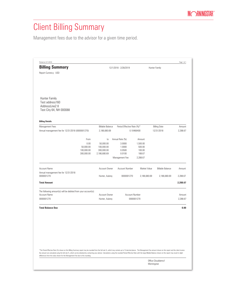## Client Billing Summary

Management fees due to the advisor for a given time period.

|                                                                                                                                                                                                                                                                                                                                                                                                                                                             |                                                             |                                                                           |                                                              |                         | Page 1 of 1 |
|-------------------------------------------------------------------------------------------------------------------------------------------------------------------------------------------------------------------------------------------------------------------------------------------------------------------------------------------------------------------------------------------------------------------------------------------------------------|-------------------------------------------------------------|---------------------------------------------------------------------------|--------------------------------------------------------------|-------------------------|-------------|
| <b>Billing Summary</b>                                                                                                                                                                                                                                                                                                                                                                                                                                      |                                                             | 12/1/2018 - 2/28/2019                                                     |                                                              | Hunter Family           |             |
| Report Currency: USD                                                                                                                                                                                                                                                                                                                                                                                                                                        |                                                             |                                                                           |                                                              |                         |             |
| Hunter Family<br>Test address160<br>AddressLine2 8<br>Test City 64, NH 000088                                                                                                                                                                                                                                                                                                                                                                               |                                                             |                                                                           |                                                              |                         |             |
| <b>Billing Details</b>                                                                                                                                                                                                                                                                                                                                                                                                                                      |                                                             |                                                                           |                                                              |                         |             |
| Management Fees                                                                                                                                                                                                                                                                                                                                                                                                                                             | <b>Billable Balance</b>                                     | Period Effective Rate (%)*                                                |                                                              | <b>Billing Date</b>     | Amount      |
| Annual management fee for 12/31/2018 (0000001270)                                                                                                                                                                                                                                                                                                                                                                                                           | 2,186,680.69                                                |                                                                           | 0.10466400                                                   | 12/31/2018              | 2,288.67    |
| From<br>0.00<br>50,000.00<br>100,000.00<br>300,000.00                                                                                                                                                                                                                                                                                                                                                                                                       | to<br>50,000.00<br>100,000.00<br>300,000.00<br>2,186,680.69 | Annual Rate (%)<br>3.0000<br>1.0000<br>0.0500<br>0.0100<br>Management Fee | Amount<br>1,500.00<br>500.00<br>100.00<br>188.67<br>2,288.67 |                         |             |
| <b>Account Name</b>                                                                                                                                                                                                                                                                                                                                                                                                                                         | Account Owner                                               | <b>Account Number</b>                                                     | Market Value                                                 | <b>Billable Balance</b> | Amount      |
| Annual management fee for 12/31/2018<br>0000001270                                                                                                                                                                                                                                                                                                                                                                                                          | Hunter, Aubrey                                              | 0000001270                                                                | 2,186,680.69                                                 | 2,186,680.69            | 2,288.67    |
| <b>Total Amount</b>                                                                                                                                                                                                                                                                                                                                                                                                                                         |                                                             |                                                                           |                                                              |                         | 2,288.67    |
| The following amount(s) will be debited from your account(s):<br><b>Account Name</b>                                                                                                                                                                                                                                                                                                                                                                        | Account Owner                                               | Account Number                                                            |                                                              |                         | Amount      |
| 0000001270                                                                                                                                                                                                                                                                                                                                                                                                                                                  | Hunter, Aubrey                                              |                                                                           | 0000001270                                                   |                         | 2,288.67    |
| <b>Total Balance Due</b>                                                                                                                                                                                                                                                                                                                                                                                                                                    |                                                             |                                                                           |                                                              |                         | 0.00        |
|                                                                                                                                                                                                                                                                                                                                                                                                                                                             |                                                             |                                                                           |                                                              |                         |             |
|                                                                                                                                                                                                                                                                                                                                                                                                                                                             |                                                             |                                                                           |                                                              |                         |             |
|                                                                                                                                                                                                                                                                                                                                                                                                                                                             |                                                             |                                                                           |                                                              |                         |             |
|                                                                                                                                                                                                                                                                                                                                                                                                                                                             |                                                             |                                                                           |                                                              |                         |             |
|                                                                                                                                                                                                                                                                                                                                                                                                                                                             |                                                             |                                                                           |                                                              |                         |             |
| *The Period Effective Rate (%) shown on this Billing Summary report may be rounded from the full rate %, which may contain up to 15 decimal places. The Management Fee amount shown on this report and the client invoice<br>fee amount are calculated using the full rate %, which can be obtained by contacting your advisor. Calculations using the rounded Period Effective Rate with the large Billable Balance shown on this report may result in sli |                                                             |                                                                           |                                                              |                         |             |
| differences from the value shown for the Management Fee due to this rounding.                                                                                                                                                                                                                                                                                                                                                                               |                                                             |                                                                           |                                                              |                         |             |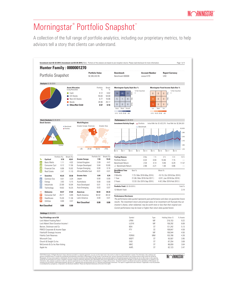### Morningstar<sup>®</sup> Portfolio Snapshot<sup>®</sup>

A collection of the full range of portfolio analytics, including our proprietary metrics, to help advisors tell a story that clients can understand.

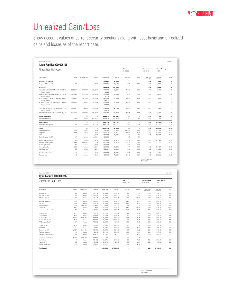#### Unrealized Gain/Loss

Show account values of current security positions along with cost basis and unrealized gains and losses as of the report date.

| <b>Lyon Family: 0000000196</b>                               |              |                          |                          |                        |                        |                                   |                                   |                                     |                                      | Page 1 of 2              |
|--------------------------------------------------------------|--------------|--------------------------|--------------------------|------------------------|------------------------|-----------------------------------|-----------------------------------|-------------------------------------|--------------------------------------|--------------------------|
| <b>Unrealized Gain/Loss</b>                                  |              |                          |                          |                        |                        | Date<br>02-28-2019                |                                   | <b>Account Number</b><br>0000000196 | <b>Report Currency</b><br><b>USD</b> |                          |
| Security Name                                                | Symbol       | Acquisition Date         | Quantity                 | Market Value           | Total Cost             | <b>Hnit Price</b>                 | <b>Unit Cost</b>                  | Short Term<br>Unrealized G/L        | Long Term<br>Unrealized G/L          | % G/L                    |
| <b>Exchange-Traded Fund</b><br>Vanguard FTSE Europe ETF      | VGK          | Various                  | 509.05                   | 27.239.05<br>27.239.05 | 28,943.07<br>28,943.07 | $\overline{\phantom{a}}$<br>53.51 | $\overline{\phantom{0}}$<br>56.86 | 0.00<br>0.00                        | $-1.704.02$<br>$-1.704.02$           | $-5.89$<br>$-5.89$       |
| <b>Fixed Income</b>                                          |              |                          | $\overline{\phantom{0}}$ | 614,740.34             | 611.329.00             | $\overline{\phantom{0}}$          | $\overline{\phantom{0}}$          | 0.00                                | $-2.367.20$                          | $-0.39$                  |
| AUTOZONE INC NOTE CALL MAKE WHOLE 3.1250<br>Accrued Interest | 053332AP7    | 01-12-2016               | 100,000.00               | 101.700.00<br>373.26   | 99.530.00              | 101.70                            | 99.53                             | 0.00                                | 2.170.00                             | 2.18                     |
| BANK OF MONTREAL MTN 2.00000% 03/11/2021<br>Accrued Interest | 06367TAW0    | 03-17-2016               | 100,000.00               | 96.532.80<br>927.78    | 99.900.00              | 96.53                             | 99.90                             | 0.00                                | $-3.367.20$                          | $-3.37$                  |
| ELECTRONIC ARTS INC NOTE CALL MAKE WHOLE<br>Accrued Interest | 285512AC3    | 03-01-2016               | 100.000.00               | 104.289.00<br>1.819.17 | 101.600.00             | 104.29                            | 101.60                            | 0.00                                | 2.689.00                             | 2.65                     |
| KOHLS CORP NOTE CALL MAKE WHOLE 4 00000%<br>Accrued Interest | 500255AR5    | 11-12-2015               | 100.000.00               | 103.765.00<br>1,300.00 | 103.085.00             | 103 77                            | 103.09                            | 0.00                                | 680.00                               | 0.66                     |
| SMUCKER J M CO NOTE CALL MAKE WHOLE 3.00<br>Accrued Interest | 832696AH1    | 11-18-2015               | 100.000.00               | 101.838.00<br>1.358.33 | 99.730.00              | 101.84                            | 99.73                             | 0.00                                | 2.108.00                             | <br>2.11                 |
| WELLS FARGO &CO NEW NOTE 5.62500% 12/11/                     | 949746NX5    | 01-29-2016               | 100,000.00               | 100.837.00             | 107.484.00             | 100.84                            | 107.48                            | 0.00                                | $-6.647.00$                          | $-6.18$                  |
| <b>Money Market Fund</b>                                     |              |                          |                          | 958.805.27             | 958.805.27             |                                   | $\overline{\phantom{a}}$          | 0.00                                | 0.00                                 | 0.00                     |
| Fidelity Cash Reserves                                       | <b>FDRXX</b> | Various                  | 958.805.27               | 958.805.27             | 958.805.27             | 1.00                              | 1.00                              | 0.00                                | 0.00                                 | 0.00                     |
| <b>Open-End Fund</b>                                         |              | $\overline{\phantom{0}}$ | $\overline{\phantom{0}}$ | 394.141.14             | 408.676.73             | $\overline{\phantom{0}}$          | $\overline{\phantom{0}}$          | 0.00                                | $-14.535.59$                         | $-3.56$                  |
| Lord Abbett Floating Rate I                                  | <b>LEBIX</b> | Various                  | 44,136.75                | 394.141.14             | 408.676.73             | 8.93                              | 9.26                              | 0.00                                | $-14.535.59$                         | $-3.56$                  |
| Stock                                                        |              | $\overline{\phantom{0}}$ | $\overline{\phantom{0}}$ | 2,647,312.23           | 1,786,108.54           | $\overline{\phantom{0}}$          | $\overline{\phantom{0}}$          | 0.00                                | 590.527.36                           | 33.06                    |
| Alphabet Inc Class C                                         | GOOG         | Various                  | 100.00                   | 111.992.00             | 78,555.67              | 1.119.92                          | 785.56                            | 0.00                                | 33.436.33                            | 42.56                    |
| Amgen Inc                                                    | AMGN         | Various                  | 493.91                   | 93.883.17              | 76.691.11              | 190.08                            | 155.27                            | 0.00                                | 17.192.06                            | 22.42                    |
| AT&T Inc                                                     | T.           | Various                  | 2.124.38                 | 66.110.83              | 85.359.44              | 31.12                             | 40.18                             | 0.00                                | $-19.248.61$                         | $-22.55$                 |
| Banco Santander SA ADR                                       | SAN          | Various                  | 14,578.31                | 70.850.58              |                        | 486                               | 4 2 3                             |                                     |                                      |                          |
| Becton, Dickinson and Co.                                    | <b>BDX</b>   | Various                  | 591.59                   | 147,180.93             | 85.051.89              | 248.79                            | 143.77                            | 0.00                                | 62,129.04                            | 73.05                    |
| Berkshire Hathaway Inc B                                     | BRK.B        | 04-08-2016               | 525.00                   | 105.682.50             | 74.165.83              | 201.30                            | 141.27                            | 0.00                                | 31,516.67                            | 42.49                    |
| <b>BHP Group Ltd ADR</b>                                     | BHP          | Various                  | 2.638.06                 | 139.553.59             | $\sim$                 | 52.90                             | 25.91                             | $\sim$                              | $\sim$                               | $\overline{\phantom{a}}$ |
| Cisco Systems Inc.                                           | CSCO         | Various                  | 1.553.54                 | 80.426.56              | 48.482.82              | 51.77                             | 31.21                             | 0.00                                | 31.943.74                            | 65.89                    |
| CVS Health Corp.<br>.                                        | CVS          | Various                  | 1.029.74                 | 59.549.81              | 100.976.63             | 57.83                             | 98.06                             | 0.00                                | $-41.426.82$                         | $-41.03$<br>.            |
| Extra Space Storage Inc.                                     | EXR          | Various                  | 525.05                   | 50.373.68              | 48.803.52              | 95.94                             | 92.95                             | 0.00                                | 1.570.16                             | 3.22                     |
| Facebook Inc A                                               | <b>FB</b>    | Various                  | 700.00                   | 113,015.00             | 76.129.50              | 161.45                            | 108.76                            | 0.00                                | 36,885.50                            | 48.45                    |

| <b>Unrealized Gain/Loss</b>        |                 |                  |            |                 |                   | Date<br>02-28-2019 |           | <b>Account Number</b><br>0000000196 | <b>Report Currency</b><br><b>USD</b> |            |
|------------------------------------|-----------------|------------------|------------|-----------------|-------------------|--------------------|-----------|-------------------------------------|--------------------------------------|------------|
| Security Name                      | Symbol          | Acquisition Date | Quantity   | Market Value    | <b>Total Cost</b> | Unit Price         | Unit Cost | Short Term<br>Unrealized G/L        | Long Term<br>Unrealized G/L          | % G/L      |
| Gannett Co Inc.                    | GCI             | Various          | 3.113.76   | 36.555.52       | 25.005.29         | 11.74              | 8.03      | 0.00                                | 11.550.23                            | 46.19      |
| ICICI Bank I td ADB                | <b>IRN</b>      | Various          | 7.278.46   | 71.765.66       | 51.481.70         | 9.86               | 7.07      | 0.00                                | 20.283.96                            | 39.40      |
| Johnson & Johnson                  | <b>INT</b>      | Various          | 844.74<br> | 115.424.86<br>. | 85.746.24         | 136.64<br>         | 101.51    | 0.00<br>.                           | 29.678.62<br>1.111<br>.              | 34.61<br>. |
| JPMorgan Chase & Co.               | <b>JPM</b>      | Various          | 1.237.67   | 129.163.55      | 77.346.23         | 104.36             | 62 49     | 0.00                                | 51.817.32                            | 66.99      |
| Kohl's Corp                        | KSS             | Various          | 1.063.33   | 71,806.40       | 42,158.44         | 67.53              | 39.65     | 0.00                                | 29.647.96                            | 70.33      |
| MAG Silver Corp.                   | MAG             | 10-07-2010       | 1.000.00   | 9.790.00        | 7.713.55          | 9.79               | 7.71      | 0.00                                | 2.076.45                             | 26.92      |
| Markel Corp                        | <b>MKL</b>      | Various          | 30.00      | 30.146.40       | 10.370.55         | 1.004.88           | 345.69    | 0.00                                | 19.775.85                            | 190.69     |
| Marriott International Inc Class A | MAR             | Various          | 712.61     | 89.268.91       | 50.087.81         | 125.27             | 70.29     | 0.00                                | 39.181.10                            | 78.22      |
| McKesson Corp                      | MCK             | Various          | 564.15     | 71.737.44       | 92.265.67         | 127.16             | 163.55    | 0.00                                | $-20.528.23$                         | $-22.25$   |
| Microsoft Corp.                    | <b>MSFT</b>     | Various          | 1.340.03   | 150.123.22      | 76.803.41         | 112.03             | 57.31     | 0.00                                | 73.319.81                            | 95.46      |
| Nestle SA ADR                      | <b>NSRGY</b>    | 10-29-2015       | 1.000.00   | 90.330.00       | 76.517.95         | 90.33              | 76.52     | 0.00                                | 13.812.05                            | 18.05      |
| Novo Nordisk A/S ADR               | NV <sub>O</sub> | Various          | 2.202.60   | 107.817.32      | 106.296.18        | 48.95              | 48.26     | 0.00                                | 1.521.14                             | 1.43       |
| PBF Energy Inc Class A<br>         | PRF             | Various          | 1.053.65   | 32.736.91       | 24.227.36         | 31.07              | 22.99     | 0.00                                | 8.509.55                             | 35.12      |
| South32 Ltd ADR                    | SOUHY           | Various          | 2.082.00   | 29.033.49       | 21.158.95         | 13.95              | 10.16     | 0.00                                | 7.874.54                             | 37.22      |
| STERIS PLC                         | STE             | Various          | 509.61     | 61.642.55       | 36.725.83         | 120.96             | 72.07     | 0.00                                | 24.916.72                            | 67.85      |
| Swedbank AB ADR                    | SWDBY           | 05-11-2016       | 1,200.00   | 22.032.00       | 25.515.33         | 18.36              | 21.26     | 0.00                                | $-3.483.33$                          | $-13.65$   |
| The Home Depot Inc.                | HD              | Various          | 308.48     | 57.111.43       | 39.334.36         | 185.14             | 127.51    | 0.00                                | 17,777.07                            | 45.19      |
| The Toronto-Dominion Bank          | TD.             | Various          | 2.134.72   | 122.490.23      | 89.471.25         | 57.38              | 41.91     | 0.00                                | 33.018.98                            | 36.90<br>  |
| Transmedia Asia Pacific Inc.       | MBTA            | 08-24-2015       | 4.000.00   | 0.00            |                   | 0.00               | 0.00      | $\sim$                              |                                      |            |
| Visa Inc Class A                   | V               | Various          | 1.014.63   | 150.287.59      | 79.432.23         | 148.12             | 78.29     | 0.00                                | 70.855.36                            | 89.20      |
| Walt Disney Co                     | DIS             | Various          | 878.75     | 99.157.92       | 94.233.80         | 112.84             | 107.24    | 0.00                                | 4.924.13                             | 5.23       |
| Western Digital Corp               | <b>WDC</b>      | Various          | 1.198.25   | 60.272.18       | $\sim$            | 50.30              | 40.12     | $\sim$                              | $\sim$                               |            |
| <b>Total Portfolio</b>             |                 |                  |            | 4.642.238.04    | 3.793.862.60      |                    |           | 0.00                                | 571.920.55                           | 15.07      |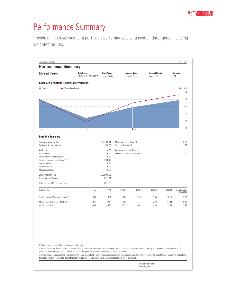#### Performance Summary

Provide a high-level view of a portfolio's performance over a custom date range, including weighted returns.



1. Returns are annualized for periods greater than 1 year.

2. Period Unrealized Gains/Losses--Unrealized Gains/Losses of all securities held in account(s) based on market values at the end of the day before the first date of the report. For purchases made during the report period, the unrealized gain/loss is based on cost basis of those purchases.

3. Period Realized Gains/Losses--Realized Gains/Losses generated by all closing positions during the report period based on market value at the end of the day before the first date of the report. For purchases made during the report period, the realized gain/loss is based on cost basis of those purchases.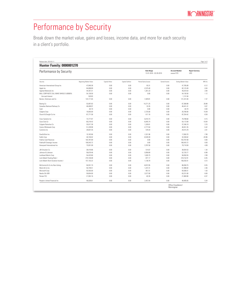### Performance by Security

Break down the market value, gains and losses, income data, and more for each security in a client's portfolio.

| Performance by Security                 |                        |                |                 | <b>Date Range</b><br>12-01-2018 - 02-28-2019 |               | <b>Account Number</b><br>xxxxxx1270 | <b>Report Currency</b><br><b>USD</b> |
|-----------------------------------------|------------------------|----------------|-----------------|----------------------------------------------|---------------|-------------------------------------|--------------------------------------|
|                                         |                        |                |                 |                                              |               |                                     |                                      |
| Security                                | Beginning Market Value | Capital Inflow | Capital Outflow | Period Gains/Losses                          | Earned Income | <b>Ending Market Value</b>          | IRR (%)                              |
| American International Group Inc.       | 47,840.38              | 0.00           | 0.00            | $-55.31$                                     | 0.00          | 47,785.08                           | $-0.12$                              |
| Apple Inc.                              | 84.698.89              | 0.00           | 0.00            | $-2.575.40$                                  | 0.00          | 82.123.49                           | $-3.04$                              |
| Applied Materials Inc.                  | 44.357.31              | 0.00           | 0.00            | 1.261.23                                     | 0.00          | 45.618.54                           | 2.84                                 |
| BALL CORP NOTE CALL MAKE WHOLE 5.00000% | 54,130.50              | 0.00           | 0.00            | 0.00                                         | 0.00          | 54,130.50                           | 1.12                                 |
| Accrued Interest                        | 520.83                 |                |                 |                                              |               | 1,131.94                            |                                      |
| Becton, Dickinson and Co.               | 123.171.65             | 0.00           | 0.00            | $-1.929.81$                                  | 0.00          | 121.241.84                          | $-1.57$                              |
| Boeing Co                               | 53.097.63              | 0.00           | 0.00            | 14.271.25                                    | 0.00          | 67.368.88                           | 26.88                                |
| Canadian National Railway Co.           | 46.408.97              | 0.00           | 0.00            | 32 45                                        | 0.00          | 46.441.41                           | 0.07                                 |
| Cash                                    | $-82.70$               | 0.00           | 0.00            | 0.00                                         | 0.00          | $-82.70$                            | 0.00                                 |
| Celgene Corp                            | 18.055.00              | 0.00           | 0.00            | 2.725.00                                     | 0.00          | 20.780.00                           | 15.09                                |
| Church & Dwight Co Inc                  | 87.771.58              | 0.00           | 0.00            | $-517.16$                                    | 0.00          | 87.254.42                           | $-0.59$<br>.                         |
| Cisco Systems Inc                       | 73,777.87              | 0.00           | 0.00            | 6.010.73                                     | 0.00          | 79,788.60                           | 8.15                                 |
| Coca-Cola Co                            | 60,218.42              | 0.00           | 0.00            | $-6,045.74$                                  | 0.00          | 54,172.69                           | $-10.04$                             |
| Colgate-Palmolive Co                    | 35,917.38              | 0.00           | 0.00            | 1,328.81                                     | 0.00          | 37,246.19                           | 3.70                                 |
| Costco Wholesale Corp                   | 51,228.98              | 0.00           | 0.00            | $-2.777.64$                                  | 0.00          | 48.451.35                           | $-542$                               |
| Cummins Inc.                            | 28.837.35              | 0.00           | 0.00            | 578 43                                       | 0.00          | 29.415.78                           | 2 <sub>01</sub>                      |
| DowDuPont Inc.                          | 19,182.66              | 0.00           | 0.00            | $-1,531.96$                                  | 0.00          | 17,650.70                           | $-7.99$                              |
| FedEx Corp                              | 40.740.02              | 0.00           | 0.00            | $-8.539.39$                                  | 0.00          | 32.200.62                           | $-20.96$                             |
| <b>Fidelity Cash Reserves</b>           | 103.787.69             | 0.00           | 0.00            | 0.00                                         | 0.00          | 103.787.69                          | 0.00                                 |
| Fidelity® Strategic Income              | 106,543.72             | 0.00           | 0.00            | 0.00                                         | 0.00          | 106,543.72                          | 0.00                                 |
| Honeywell International Inc.            | 75,931.09              | 0.00           | 0.00            | 3,787.50                                     | 0.00          | 79,718.59                           | 4.99<br><b>CONTRACT</b>              |
| JM Smucker Co                           | 38,419.86              | 0.00           | 0.00            | 514.67                                       | 0.00          | 38.934.53                           | 1.34                                 |
| Johnson & Johnson                       | 56.679.46              | 0.00           | 0.00            | $-3.958.69$                                  | 0.00          | 52,720.77                           | $-6.98$                              |
| Lockheed Martin Corp                    | 54.423.80              | 0.00           | 0.00            | 1.626.75                                     | 0.00          | 56.050.55                           | 2.99                                 |
| Lord Abbett Floating Rate I             | 219,130.08             | 0.00           | 0.00            | $-977.17$                                    | 0.00          | 218,152.91                          | $-0.45$                              |
| Lord Abbett Short Duration Income I     | 157, 153.22            | 0.00           | 0.00            | 1.138.79                                     | 0.00          | 158.292.01                          | 0.72                                 |
| McCormick & Co Inc Non-Voting           | 94,931.70              | 0.00           | 0.00            | $-8,872.95$                                  | 0.00          | 86,058.75                           | $-9.35$                              |
| Merck & Co Inc.                         | 50.749.51              | 0.00           | 0.00            | 1.247.31                                     | 0.00          | 51,996.82                           | 2.46                                 |
| Microsoft Corp                          | 92.555.00              | 0.00           | 0.00            | 951.51                                       | 0.00          | 93.506.51                           | 1.03                                 |
| Nestle SA ADR                           | 59,654.00              | 0.00           | 0.00            | 3.577.00                                     | 0.00          | 63,231.00                           | 6.00                                 |
| Pentair PLC                             | 21.952.16              | n nn           | 0.00            | $-82.26$                                     | 0.00          | 21.869.90                           | $-0.37$                              |
| People's United Financial Inc.          | 46.028.61              | 0.00           | 0.00            | 2.457.04                                     | 0.00          | 48.485.65                           | 5.34                                 |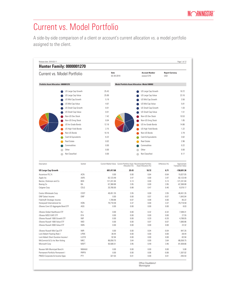#### Current vs. Model Portfolio

A side-by-side comparison of a client or account's current allocation vs. a model portfolio assigned to the client.

| <b>Hunter Family: 0000001270</b>                          |                     |                                                                    |                                                |                                     |                                      |                                         |
|-----------------------------------------------------------|---------------------|--------------------------------------------------------------------|------------------------------------------------|-------------------------------------|--------------------------------------|-----------------------------------------|
| Current vs. Model Portfolio                               |                     | Date<br>02-28-2019                                                 |                                                | <b>Account Number</b><br>xxxxxx1270 | <b>Report Currency</b><br><b>USD</b> |                                         |
| Portfolio Asset Allocation--0000001270                    |                     |                                                                    | Model Portfolio Asset Allocation--Model 000002 |                                     |                                      |                                         |
|                                                           | US Large Cap Growth | 25.43                                                              |                                                | US Large Cap Growth                 |                                      | 18.72                                   |
|                                                           | US Large Cap Value  | 25.89                                                              |                                                | US Large Cap Value                  |                                      | 23.16                                   |
|                                                           | US Mid Cap Growth   | 5.19                                                               |                                                | US Mid Cap Growth                   |                                      | 3.56                                    |
|                                                           | US Mid Cap Value    | 4.67                                                               |                                                | US Mid Cap Value                    |                                      | 5.81                                    |
|                                                           | US Small Cap Growth | 0.01                                                               |                                                | US Small Cap Growth                 |                                      | 1.03                                    |
|                                                           | US Small Cap Value  | 0.01                                                               |                                                | US Small Cap Value                  |                                      | 1.51                                    |
|                                                           | Non-US Dev Stock    | 7.42                                                               |                                                | Non-US Dev Stock                    |                                      | 10.53                                   |
|                                                           |                     | 0.04                                                               |                                                |                                     |                                      | 1.85                                    |
|                                                           | Non-US Emrg Stock   |                                                                    |                                                | Non-US Emrg Stock                   |                                      |                                         |
|                                                           | US Inv Grade Bonds  | 12.18                                                              |                                                | US Inv Grade Bonds                  |                                      | 14.86                                   |
|                                                           | US High Yield Bonds | 2.75                                                               |                                                | US High Yield Bonds                 |                                      | 1.22                                    |
|                                                           | Non-US Bonds        | 10.16                                                              |                                                | Non-US Bonds                        |                                      | 2.79                                    |
|                                                           | Cash & Equivalents  | 6.22                                                               |                                                | Cash & Equivalents                  |                                      | 3.62                                    |
| <b>Real Estate</b>                                        |                     | 0.02                                                               |                                                | <b>Real Estate</b>                  |                                      | 2.96                                    |
|                                                           | Commodities         | 0.00                                                               |                                                | Commodities                         |                                      | 0.22                                    |
| Other                                                     |                     | 0.00                                                               |                                                | Other                               |                                      | 0.00                                    |
|                                                           | Not Classified      | 0.00                                                               |                                                | Not Classified                      |                                      | 8.17                                    |
| Description                                               | Symbol              | Current Market Value Current Portfolio Asset Recommended Portfolio | Allocation (%)                                 | Asset Allocation (%)                | Difference (%)                       | Approximate<br><b>Transaction Value</b> |
| <b>US Large Cap Growth</b>                                |                     | 601,417.68                                                         | 25.43                                          | 18.72                               | 6.71                                 | $-158,691.36$                           |
| Accenture PLC A                                           | ACN                 | 0.00                                                               | 0.00                                           | 0.64                                | $-0.64$                              | 15,027.05                               |
| Apple Inc                                                 | AAPL                | 82,123.49                                                          | 3.47                                           | 0.00                                | 3.47                                 | $-82,123.49$                            |
| Becton, Dickinson and Co.                                 | BDX                 | 121,241.84                                                         | 5.13                                           | 0.00                                | 5.13                                 | $-121,241.84$                           |
| Boeing Co<br>Celgene Corp                                 | ΒA<br>CELG          | 67,368.88<br>20,780.00                                             | 2.85<br>0.88                                   | 0.00<br>0.47                        | 2.85<br>0.40                         | $-67,368.88$<br>$-9,578.17$             |
|                                                           |                     |                                                                    |                                                |                                     |                                      | .                                       |
| Costco Wholesale Corp                                     | COST                | 48,451.35                                                          | 2.05                                           | 0.00                                | 2.05                                 | $-48,451.35$                            |
| <b>DNP Select Income</b>                                  | <b>DNP</b>          | 0.00                                                               | 0.00                                           | 0.07                                | $-0.07$                              | 1,643.04                                |
| Fidelity® Strategic Income<br>Honeywell International Inc | <b>HON</b>          | 1,709.88<br>79,718.59                                              | 0.07<br>3.37                                   | 0.08<br>0.00                        | 0.00<br>3.37                         | 85.22<br>$-79,718.59$                   |
| iShares Core US Aggregate Bond ETF                        | AGG                 | 0.00                                                               | 0.00                                           | 0.00                                | 0.00                                 | 8.03                                    |
| iShares Global Healthcare ETF                             | IXJ                 | 0.00                                                               | 0.00                                           | 0.32                                | $-0.32$                              | 7,599.31                                |
| iShares MSCI EAFE ETF<br>iShares Russell 1000 Growth ETF  | EFA<br><b>IWF</b>   | 0.00<br>0.00                                                       | 0.00<br>0.00                                   | 0.00<br>0.20                        | 0.00<br>$-0.20$                      | 27.55<br>4,788.05                       |
| iShares Russell 1000 Value ETF                            | <b>IWD</b>          | 0.00                                                               | 0.00                                           | 0.07                                | $-0.07$                              | 1,680.86                                |
| iShares Russell 2000 Value ETF                            | <b>IWN</b>          | 0.00                                                               | 0.00                                           | 0.00                                | 0.00                                 | 22.32                                   |
| iShares Russell Mid-Cap ETF                               | <b>IWR</b>          | 0.00                                                               | 0.00                                           | 0.04                                | $-0.04$                              | 847.35                                  |
| Lord Abbett Floating Rate I                               | LFRIX               | 38.44                                                              | 0.00                                           | 0.00                                | 0.00                                 | $-38.44$                                |
| Lord Abbett Short Duration Income I                       | LLDYX               | 92.94                                                              | 0.00                                           | 0.00                                | 0.00                                 | $-92.94$                                |
| McCormick & Co Inc Non-Voting<br>Microsoft Corp           | MKC<br><b>MSFT</b>  | 86,058.75<br>93,506.51                                             | 3.64<br>3.95                                   | 0.00<br>0.49                        | 3.64<br>3.46                         | $-86,058.75$<br>$-81,938.66$            |
| Nuveen MA Municipal Bond A                                | NMAAX               | 0.00                                                               | 0.00                                           | 0.00                                | 0.00                                 | 5.08                                    |
| Permanent Portfolio Permanent I                           | PRPFX               | 0.00                                                               | 0.00                                           | 0.06                                | $-0.06$                              | 1,307.02                                |
| PIMCO Corporate & Income Opps                             | PTY                 | 327.03                                                             | 0.01                                           | 0.00                                | 0.01                                 | $-293.54$                               |